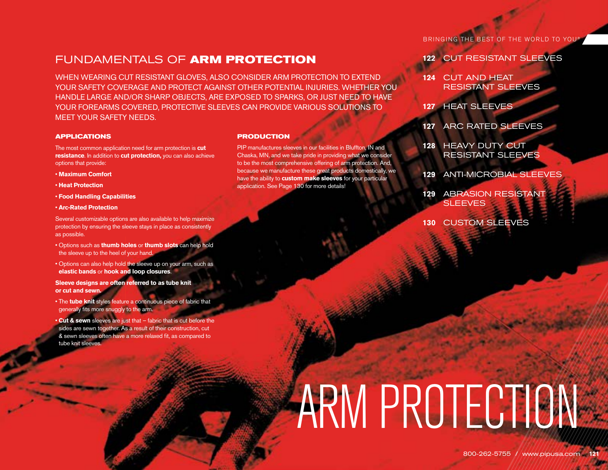# FUNDAMENTALS OF **ARM PROTECTION**

WHEN WEARING CUT RESISTANT GLOVES, ALSO CONSIDER ARM PROTECTION TO EXTEND YOUR SAFETY COVERAGE AND PROTECT AGAINST OTHER POTENTIAL INJURIES. WHETHER YOU HANDLE LARGE AND/OR SHARP OBJECTS, ARE EXPOSED TO SPARKS, OR JUST NEED TO HAVE YOUR FOREARMS COVERED, PROTECTIVE SLEEVES CAN PROVIDE VARIOUS SOLUTIONS TO MEET YOUR SAFETY NEEDS.

### **APPLICATIONS**

The most common application need for arm protection is **cut resistance**. In addition to **cut protection,** you can also achieve options that provide:

- **Maximum Comfort**
- **Heat Protection**
- **Food Handling Capabilities**
- **Arc-Rated Protection**

Several customizable options are also available to help maximize protection by ensuring the sleeve stays in place as consistently as possible.

- Options such as **thumb holes** or **thumb slots** can help hold the sleeve up to the heel of your hand.
- Options can also help hold the sleeve up on your arm, such as **elastic bands** or **hook and loop closures**.

**Sleeve designs are often referred to as tube knit or cut and sewn.**

- The **tube knit** styles feature a continuous piece of fabric that generally fits more snuggly to the arm.
- **Cut & sewn** sleeves are just that fabric that is cut before the sides are sewn together. As a result of their construction, cut & sewn sleeves often have a more relaxed fit, as compared to tube knit sleeves.

### **PRODUCTION**

PIP manufactures sleeves in our facilities in Bluffton, IN and Chaska, MN, and we take pride in providing what we consider to be the most comprehensive offering of arm protection. And, because we manufacture these great products domestically, we have the ability to **custom make sleeves** for your particular application. See Page 130 for more details!

BRINGING THE BEST OF THE WORLD TO YOU®

- **122** CUT RESISTANT SLEEVES
- **124** CUT AND HEAT RESISTANT SLEEVES
- **127** HEAT SLEEVES
- **127** ARC RATED SLEEVES
- **128** HEAVY DUTY CUT RESISTANT SLEEVES
- **129** ANTI-MICROBIAL SLEEVES
- **129** ABRASION RESISTANT **SLEEVES**
- **130** CUSTOM SLEEVES

# ARM PROTECTION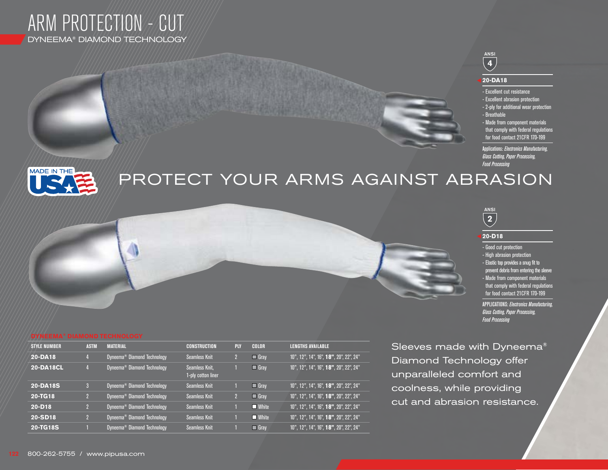

## ANSI **4**

### **20-DA18**

- Excellent cut resistance - Excellent abrasion protection - 2-ply for additional wear protection - Breathable - Made from component materials
- that comply with federal regulations for food contact 21CFR 170-199

Applications: *Electronics Manufacturing, Glass Cutting, Paper Processing, Food Processing*



# PROTECT YOUR ARMS AGAINST ABRASION

ANSI **2**

## **20-D18**

- Good cut protection
- High abrasion protection
- Elastic top provides a snug fit to
- prevent debris from entering the sleeve - Made from component materials that comply with federal regulations
- for food contact 21CFR 170-199

APPLICATIONS: *Electronics Manufacturing, Glass Cutting, Paper Processing, Food Processing*

| <b>STYLE NUMBER</b> | <b>ASTM</b> | <b>MATERIAL</b>                         | <b>CONSTRUCTION</b>                  | <b>PLY</b> | <b>COLOR</b>         | <b>LENGTHS AVAILABLE</b>               |
|---------------------|-------------|-----------------------------------------|--------------------------------------|------------|----------------------|----------------------------------------|
| 20-DA18             |             | Dyneema <sup>®</sup> Diamond Technology | <b>Seamless Knit</b>                 |            | Gray                 | 10", 12", 14", 16", 18", 20", 22", 24" |
| <b>20-DA18CL</b>    |             | Dyneema <sup>®</sup> Diamond Technology | Seamless Knit,<br>1-ply cotton liner |            | $\blacksquare$ Gray  | 10", 12", 14", 16", 18", 20", 22", 24" |
| 20-DA18S            |             | Dyneema <sup>®</sup> Diamond Technology | <b>Seamless Knit</b>                 |            | $\blacksquare$ Grav  | 10", 12", 14", 16", 18", 20", 22", 24" |
| 20-TG18             |             | Dyneema <sup>®</sup> Diamond Technology | <b>Seamless Knit</b>                 |            | $\blacksquare$ Gray  | 10", 12", 14", 16", 18", 20", 22", 24" |
| $20 - D18$          |             | Dyneema <sup>®</sup> Diamond Technology | <b>Seamless Knit</b>                 |            | $\blacksquare$ White | 10", 12", 14", 16", 18", 20", 22", 24" |
| 20-SD18             |             | Dyneema <sup>®</sup> Diamond Technology | <b>Seamless Knit</b>                 |            | $\blacksquare$ White | 10", 12", 14", 16", 18", 20", 22", 24" |
| 20-TG18S            |             | Dyneema <sup>®</sup> Diamond Technology | <b>Seamless Knit</b>                 |            | $\blacksquare$ Grav  | 10", 12", 14", 16", 18", 20", 22", 24" |

**FROM** 

**FROM AND STRUCK** 

Sleeves made with Dyneema® Diamond Technology offer unparalleled comfort and coolness, while providing cut and abrasion resistance.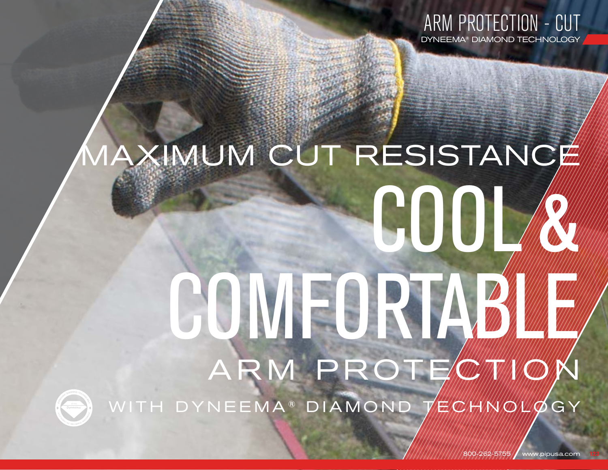

# MAXIMUM CUT RESISTANCE

# ARM PROTECTION COMFORTABLE SCOOL



WITH DYNEEMA<sup>®</sup> DIAMOND 7/7/2/1/2/4/2/20Y

800-262-5755 / www.pipusa.com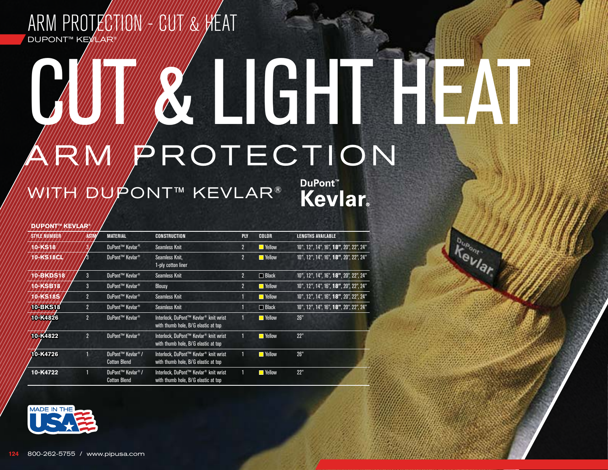# ARM PROTECTION - CUT BINA DUPONT™ KE*VILAR*

# ARMMPROTECTION CUT GUITE

WWWAWPONT™ KEVLAR®

**DuPont™ Kevlar** 

**Tevlar** 

## **DUPONT<sup>™</sup> KEVLA**

| <b><i>STYLE NUMBER</i></b> |                | <b>MATERIAL</b>                                      | <b>CONSTRUCTION</b>                                                                      | <b>PLY</b>     | <b>COLOR</b>          | <b>LENGTHS AVAILABLE</b>               |
|----------------------------|----------------|------------------------------------------------------|------------------------------------------------------------------------------------------|----------------|-----------------------|----------------------------------------|
| 10-KS18                    |                | DuPont™ Kevlar <sup>®</sup>                          | <b>Seamless Knit</b>                                                                     | $\overline{2}$ | $\blacksquare$ Yellow | 10", 12", 14", 16", 18", 20", 22", 24" |
| 10-KS18CL                  | В              | DuPont™ Kevlar <sup>®</sup>                          | Seamless Knit,<br>1-ply cotton liner                                                     | $\overline{2}$ | $\blacksquare$ Yellow | 10", 12", 14", 16", 18", 20", 22", 24" |
| <b>10-BKDS18</b>           | 3              | DuPont™ Kevlar <sup>®</sup>                          | <b>Seamless Knit</b>                                                                     | $\overline{2}$ | $\Box$ Black          | 10", 12", 14", 16", 18", 20", 22", 24" |
| 10-KSB18                   | 3              | DuPont™ Kevlar <sup>®</sup>                          | <b>Blousy</b>                                                                            | $\overline{2}$ | $\blacksquare$ Yellow | 10", 12", 14", 16", 18", 20", 22", 24" |
| 10-KS18S                   | $\overline{2}$ | DuPont™ Kevlar <sup>®</sup>                          | <b>Seamless Knit</b>                                                                     |                | <b>N</b> Yellow       | 10", 12", 14", 16", 18", 20", 22", 24" |
| <b>10-BKS18</b>            | $\overline{2}$ | DuPont™ Kevlar <sup>®</sup>                          | <b>Seamless Knit</b>                                                                     |                | $\Box$ Black          | 10", 12", 14", 16", 18", 20", 22", 24" |
| 10-K4826                   | $\overline{2}$ | DuPont™ Kevlar <sup>®</sup>                          | Interlock, DuPont™ Kevlar <sup>®</sup> knit wrist<br>with thumb hole, B/G elastic at top |                | <b>N</b> Yellow       | 26"                                    |
| 10-K4822                   | $\overline{2}$ | DuPont™ Kevlar <sup>®</sup>                          | Interlock, DuPont™ Kevlar <sup>®</sup> knit wrist<br>with thumb hole, B/G elastic at top |                | $\blacksquare$ Yellow | 22"                                    |
| 10-K4726                   |                | DuPont™ Kevlar <sup>®</sup> /<br><b>Cotton Blend</b> | Interlock, DuPont™ Kevlar <sup>®</sup> knit wrist<br>with thumb hole, B/G elastic at top |                | $\blacksquare$ Yellow | 26"                                    |
| 10-K4722                   |                | DuPont™ Kevlar <sup>®</sup> /<br><b>Cotton Blend</b> | Interlock, DuPont™ Kevlar <sup>®</sup> knit wrist<br>with thumb hole, B/G elastic at top |                | $\blacksquare$ Yellow | 22"                                    |

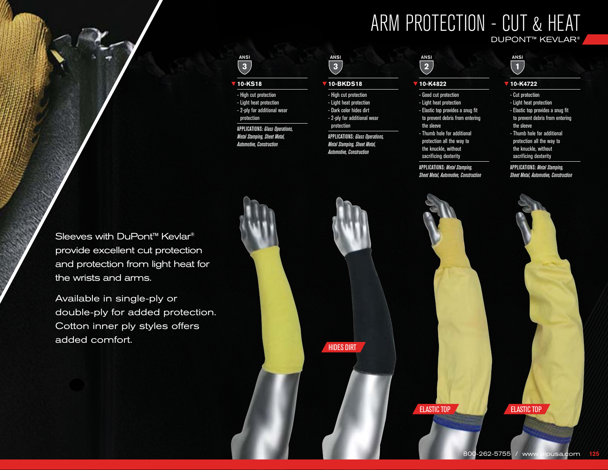# ARM PROTECTION - CUT & HEAT DUPONT™ KEVLAR®

## ANSI **3**

### **10-KS18**

- High cut protection - Light heat protection - 2-ply for additional wear protection

APPLICATIONS: *Glass Operations,* 

*Metal Stamping, Sheet Metal, Automotive, Construction*

## ANSI **3**

### **10-BKDS18**

- High cut protection - Light heat protection - Dark color hides dirt - 2-ply for additional wear protection

APPLICATIONS: *Glass Operations, Metal Stamping, Sheet Metal, Automotive, Construction*

# **2**

## **10-K4822**

ANSI

- Good cut protection - Light heat protection - Elastic top provides a snug fit to prevent debris from entering the sleeve - Thumb hole for additional

protection all the way to the knuckle, without sacrificing dexterity

APPLICATIONS: *Metal Stamping, Sheet Metal, Automotive, Construction*

## ANSI  $\overline{\mathbf{1}}$

## **10-K4722**

- Cut protection
- Light heat protection - Elastic top provides a snug fit to prevent debris from entering the sleeve
- Thumb hole for additional protection all the way to the knuckle, without sacrificing dexterity

APPLICATIONS: *Metal Stamping, Sheet Metal, Automotive, Construction*

Sleeves with DuPont<sup>™</sup> Kevlar<sup>®</sup> provide excellent cut protection and protection from light heat for the wrists and arms.

Available in single-ply or double-ply for added protection. Cotton inner ply styles offers added comfort.

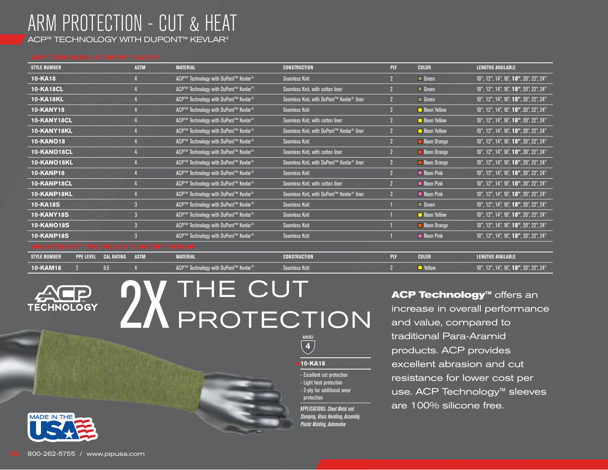# ARM PROTECTION - CUT & HEAT

ACP™ TECHNOLOGY WITH DUPONT™ KEVLAR®

| <b>STYLE NUMBER</b> |                  |                   | <b>ASTM</b> | <b>MATERIAL</b>                                  | <b>CONSTRUCTION</b>                                   | <b>PLY</b>     | <b>COLOR</b>               | <b>LENGTHS AVAILABLE</b>               |
|---------------------|------------------|-------------------|-------------|--------------------------------------------------|-------------------------------------------------------|----------------|----------------------------|----------------------------------------|
| 10-KA18             |                  |                   |             | ACP™ Technology with DuPont™ Kevlar <sup>®</sup> | <b>Seamless Knit</b>                                  | $\overline{2}$ | $\blacksquare$ Green       | 10", 12", 14", 16", 18", 20", 22", 24" |
| <b>10-KA18CL</b>    |                  |                   |             | ACP™ Technology with DuPont™ Kevlar <sup>®</sup> | Seamless Knit, with cotton liner                      |                | $\blacksquare$ Green       | 10", 12", 14", 16", 18", 20", 22", 24" |
| <b>10-KA18KL</b>    |                  |                   |             | ACP™ Technology with DuPont™ Kevlar <sup>®</sup> | Seamless Knit, with DuPont™ Kevlar <sup>®</sup> liner | $\overline{2}$ | $\blacksquare$ Green       | 10", 12", 14", 16", 18", 20", 22", 24" |
| <b>10-KANY18</b>    |                  |                   |             | ACP™ Technology with DuPont™ Kevlar <sup>®</sup> | <b>Seamless Knit</b>                                  | $\overline{2}$ | $\blacksquare$ Neon Yellow | 10", 12", 14", 16", 18", 20", 22", 24" |
| 10-KANY18CL         |                  |                   |             | ACP™ Technology with DuPont™ Kevlar <sup>®</sup> | Seamless Knit, with cotton liner                      |                | Neon Yellow                | 10", 12", 14", 16", 18", 20", 22", 24" |
| 10-KANY18KL         |                  |                   |             | ACP™ Technology with DuPont™ Kevlar <sup>®</sup> | Seamless Knit, with DuPont™ Kevlar <sup>®</sup> liner | $\overline{2}$ | $\blacksquare$ Neon Yellow | 10", 12", 14", 16", 18", 20", 22", 24" |
| <b>10-KANO18</b>    |                  |                   |             | ACP™ Technology with DuPont™ Kevlar <sup>®</sup> | <b>Seamless Knit</b>                                  | $\overline{2}$ | Neon Orange                | 10", 12", 14", 16", 18", 20", 22", 24" |
| 10-KANO18CL         |                  |                   |             | ACP™ Technology with DuPont™ Kevlar <sup>®</sup> | Seamless Knit, with cotton liner                      | $\overline{2}$ | Neon Orange                | 10", 12", 14", 16", 18", 20", 22", 24" |
| 10-KANO18KL         |                  |                   |             | ACP™ Technology with DuPont™ Kevlar <sup>®</sup> | Seamless Knit, with DuPont™ Kevlar <sup>®</sup> liner | $\overline{2}$ | Neon Orange                | 10", 12", 14", 16", 18", 20", 22", 24" |
| <b>10-KANP18</b>    |                  |                   |             | ACP™ Technology with DuPont™ Kevlar <sup>®</sup> | <b>Seamless Knit</b>                                  | $\overline{2}$ | Neon Pink                  | 10", 12", 14", 16", 18", 20", 22", 24" |
| 10-KANP18CL         |                  |                   |             | ACP™ Technology with DuPont™ Kevlar <sup>®</sup> | Seamless Knit, with cotton liner                      |                | <b>Neon Pink</b>           | 10", 12", 14", 16", 18", 20", 22", 24" |
| 10-KANP18KL         |                  |                   |             | ACP™ Technology with DuPont™ Kevlar <sup>®</sup> | Seamless Knit, with DuPont™ Kevlar <sup>®</sup> liner | $\overline{2}$ | Neon Pink                  | 10", 12", 14", 16", 18", 20", 22", 24" |
| <b>10-KA18S</b>     |                  |                   |             | ACP™ Technology with DuPont™ Kevlar <sup>®</sup> | <b>Seamless Knit</b>                                  |                | $\blacksquare$ Green       | 10", 12", 14", 16", 18", 20", 22", 24" |
| <b>10-KANY18S</b>   |                  |                   |             | ACP™ Technology with DuPont™ Kevlar <sup>®</sup> | <b>Seamless Knit</b>                                  |                | Neon Yellow                | 10", 12", 14", 16", 18", 20", 22", 24" |
| <b>10-KANO18S</b>   |                  |                   |             | ACP™ Technology with DuPont™ Kevlar <sup>®</sup> | <b>Seamless Knit</b>                                  |                | Neon Orange                | 10", 12", 14", 16", 18", 20", 22", 24" |
| <b>10-KANP18S</b>   |                  |                   |             | ACP™ Technology with DuPont™ Kevlar <sup>®</sup> | <b>Seamless Knit</b>                                  |                | Neon Pink                  | 10", 12", 14", 16", 18", 20", 22", 24" |
|                     |                  | VOIKOI            |             |                                                  |                                                       |                |                            |                                        |
| <b>STYLE NUMBER</b> | <b>PPE LEVEL</b> | <b>CAL RATING</b> | <b>ASTM</b> | <b>MATERIAL</b>                                  | <b>CONSTRUCTION</b>                                   | <b>PLY</b>     | <b>COLOR</b>               | <b>LENGTHS AVAILABLE</b>               |
| <b>10-KAM18</b>     |                  | 9.5               |             | ACP™ Technology with DuPont™ Kevlar <sup>®</sup> | <b>Seamless Knit</b>                                  |                | $\blacksquare$ Yellow      | 10", 12", 14", 16", 18", 20", 22", 24" |



# **2X THE CUT**<br>PROTECTION and value, compared to<br>traditional Para-Aramid PROTECTION



**10-KA18**

- Excellent cut protection - Light heat protection - 2-ply for additional wear

protection APPLICATIONS: *Sheet Metal and Stamping, Glass Handling, Assembly, Plastic Molding, Automotive*

increase in overall performance and value, compared to traditional Para-Aramid products. ACP provides excellent abrasion and cut resistance for lower cost per use. ACP Technology™ sleeves are 100% silicone free.

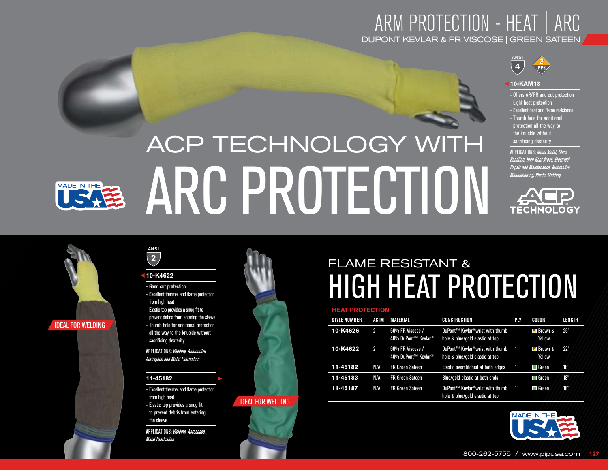# ARM PROTECTION - HEAT | ARC DUPONT KEVLAR & FR VISCOSE | GREEN SATEEN



### **10-KAM18**

- Offers AR/FR and cut protection - Light heat protection
- Excellent heat and flame resistance
- Thumb hole for additional protection all the way to the knuckle without sacrificing dexterity

APPLICATIONS: *Sheet Metal, Glass Handling, High Heat Areas, Electrical Repair and Maintenance, Automotive Manufacturing, Plastic Molding*



# ACP TECHNOLOGY WITH ARC PROTECTION





IDEAL FOR WELDING



## ANSI **2**

## **10-K4622**

- Good cut protection - Excellent thermal and flame protection from high heat - Elastic top provides a snug fit to prevent debris from entering the sleeve - Thumb hole for additional protection all the way to the knuckle without sacrificing dexterity

APPLICATIONS: *Welding, Automotive, Aerospace and Metal Fabrication*

## **11-45182**

- Excellent thermal and flame protection from high heat - Elastic top provides a snug fit to prevent debris from entering the sleeve APPLICATIONS: *Welding, Aerospace, Metal Fabrication*



IDEAL FOR WELDING

# HIGH HEAT PROTECTION FLAME RESISTANT &

### **HEAT PROTECTIO**

| <b>STYLE NUMBER</b> | ASTM           | <b>MATERIAL</b>                         | CONSTRUCTION                                                                    | PLY | COLOR                       | LENGTH |
|---------------------|----------------|-----------------------------------------|---------------------------------------------------------------------------------|-----|-----------------------------|--------|
| 10-K4626            | $\overline{2}$ | 60% FR Viscose /<br>40% DuPont™ Kevlar® | DuPont™ Kevlar <sup>®</sup> wrist with thumb<br>hole & blue/gold elastic at top |     | <b>Za</b> Brown &<br>Yellow | 26"    |
| 10-K4622            | 2              | 60% FR Viscose /<br>40% DuPont™ Kevlar® | DuPont™ Kevlar <sup>®</sup> wrist with thumb<br>hole & blue/gold elastic at top |     | <b>⊿</b> Brown &<br>Yellow  | 22"    |
| 11-45182            | N/A            | <b>FR Green Sateen</b>                  | Elastic overstitched at both edges                                              |     | $\blacksquare$ Green        | 18"    |
| 11-45183            | N/A            | <b>FR Green Sateen</b>                  | Blue/gold elastic at both ends                                                  |     | $\square$ Green             | 18"    |
| 11-45187            | N/A            | <b>FR Green Sateen</b>                  | DuPont™ Kevlar <sup>®</sup> wrist with thumb<br>hole & blue/gold elastic at top |     | $\Box$ Green                | 18"    |



# 800-262-5755 / www.pipusa.com **127**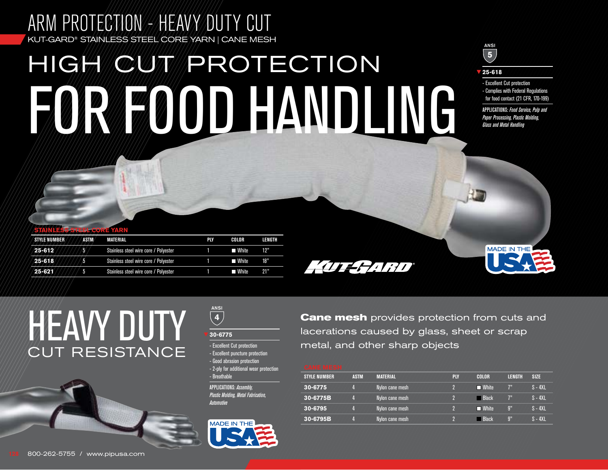# ARM PROTECTION - HEAVY DUTY CUT KUT-GARD® STAINLESS STEEL CORE YARN | CANE MESH HIGH CUT PROTECTION FOR FOOD HANDLING

# ANSI **5**

**25-618**

- Excellent Cut protection

- Complies with Federal Regulations for food contact (21 CFR, 170-199)

APPLICATIONS: *Food Service, Pulp and Paper Processing, Plastic Molding, Glass and Metal Handling*

**MADE IN THE** 

| <b>STAINLESS STEEL CORE YARN</b> |      |                                       |            |         |        |
|----------------------------------|------|---------------------------------------|------------|---------|--------|
| <b>STYLE NUMBER</b>              | ASTM | <b>MATERIAL</b>                       | <b>PIY</b> | COLOR   | LENGTH |
| 25-612                           | 5    | Stainless steel wire core / Polyester |            | ■ White | 12"    |
| $25 - 618$                       | 5    | Stainless steel wire core / Polyester |            | ■ White | 18"    |
| $25 - 621$                       | -5.  | Stainless steel wire core / Polyester |            | ■ White | 21"    |
|                                  |      |                                       |            |         |        |

HUERAN

**HEAVY DUTY** CUT RESISTANCE

ANSI **4 30-6775**

- Excellent Cut protection - Excellent puncture protection - Good abrasion protection - 2-ply for additional wear protection - Breathable APPLICATIONS: *Assembly, Plastic Molding, Metal Fabrication, Automotive*



**Cane mesh** provides protection from cuts and lacerations caused by glass, sheet or scrap metal, and other sharp objects

| <b>STYLE NUMBER</b> | <b>ASTM</b> | <b>MATERIAL</b> | <b>PLY</b> | <b>COLOR</b> | <b>LENGTH</b>  | <b>SIZE</b> |
|---------------------|-------------|-----------------|------------|--------------|----------------|-------------|
| 30-6775             |             | Nylon cane mesh |            | ■ White      | 7 <sup>n</sup> | $S - 4XL$   |
| 30-6775B            |             | Nylon cane mesh |            | ⊟ Black      | 72             | $S - 4XL$   |
| 30-6795             |             | Nylon cane mesh |            | ■ White      | 9"             | $S - 4XL$   |
| 30-6795B            |             | Nylon cane mesh |            | - Black      | $\mathfrak{g}$ | $S - 4XL$   |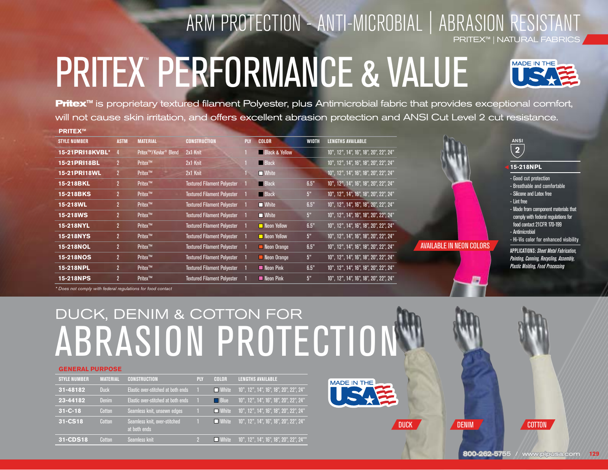# ARM PROTECTION - ANTI-MICROBIAL | ABRASION RESISTANT PRITEX™ | NATURAL FABRICS

# PRITEX™ PERFORMANCE & VALUE



**PRITEX™ Pritex<sup>™</sup>** is proprietary textured filament Polyester, plus Antimicrobial fabric that provides exceptional comfort, will not cause skin irritation, and offers excellent abrasion protection and ANSI Cut Level 2 cut resistance.

| ------              |                |                                                |                                    |            |                            |                |                                        |                         |
|---------------------|----------------|------------------------------------------------|------------------------------------|------------|----------------------------|----------------|----------------------------------------|-------------------------|
| <b>STYLE NUMBER</b> | <b>ASTM</b>    | <b>MATERIAL</b>                                | <b>CONSTRUCTION</b>                | <b>PLY</b> | COLOR                      | <b>WIDTH</b>   | <b>LENGTHS AVAILABLE</b>               |                         |
| 15-21PRI18KVBL*     |                | Pritex <sup>™</sup> /Kevlar <sup>®</sup> Blend | 2x1 Knit                           |            | <b>Black &amp; Yellow</b>  |                | 10", 12", 14", 16", 18", 20", 22", 24" |                         |
| 15-21PRI18BL        | $\overline{2}$ | Pritex™                                        | 2x1 Knit                           |            | <b>Black</b>               |                | 10", 12", 14", 16", 18", 20", 22", 24" |                         |
| 15-21PRI18WL        | 2 <sup>2</sup> | Pritex™                                        | 2x1 Knit                           |            | $\blacksquare$ White       |                | 10", 12", 14", 16", 18", 20", 22", 24" |                         |
| 15-218BKL           | 2 <sup>1</sup> | Pritex <sup>™</sup>                            | <b>Textured Filament Polyester</b> |            | <b>Black</b>               | 6.5"           | 10", 12", 14", 16", 18", 20", 22", 24" |                         |
| 15-218BKS           | 2 <sup>2</sup> | Pritex™                                        | <b>Textured Filament Polyester</b> |            | <b>Black</b>               | 5 <sup>n</sup> | 10", 12", 14", 16", 18", 20", 22", 24" |                         |
| 15-218WL            | 2 <sup>1</sup> | Pritex™                                        | <b>Textured Filament Polyester</b> |            | $\blacksquare$ White       | 6.5"           | 10", 12", 14", 16", 18", 20", 22", 24" |                         |
| 15-218WS            | 2 <sup>2</sup> | Pritex™                                        | <b>Textured Filament Polyester</b> |            | $\blacksquare$ White       | 5"             | 10", 12", 14", 16", 18", 20", 22", 24" |                         |
| 15-218NYL           | 2 <sup>1</sup> | Pritex <sup>™</sup>                            | <b>Textured Filament Polyester</b> |            | <b>Neon Yellow</b>         | 6.5"           | 10", 12", 14", 16", 18", 20", 22", 24" |                         |
| 15-218NYS           | 2 <sup>2</sup> | Pritex™                                        | <b>Textured Filament Polyester</b> |            | $\blacksquare$ Neon Yellow | 5"             | 10", 12", 14", 16", 18", 20", 22", 24" |                         |
| 15-218NOL           | 2 <sup>2</sup> | Pritex™                                        | <b>Textured Filament Polyester</b> |            | Neon Orange                | 6.5"           | 10", 12", 14", 16", 18", 20", 22", 24" | <b>AVAILABLE IN NEC</b> |
| 15-218NOS           | 2 <sup>1</sup> | Pritex <sup>™</sup>                            | <b>Textured Filament Polyester</b> |            | Neon Orange                | 5"             | 10", 12", 14", 16", 18", 20", 22", 24" |                         |
| 15-218NPL           | 2 <sup>2</sup> | Pritex <sup>™</sup>                            | <b>Textured Filament Polyester</b> |            | Neon Pink                  | 6.5"           | 10", 12", 14", 16", 18", 20", 22", 24" |                         |
| 15-218NPS           | 2 <sup>2</sup> | Pritex <sup>™</sup>                            | <b>Textured Filament Polyester</b> |            | Neon Pink                  | 5 <sup>n</sup> | 10", 12", 14", 16", 18", 20", 22", 24" |                         |
|                     |                |                                                |                                    |            |                            |                |                                        |                         |



## **15-218NPL**

- Good cut protection
- Breathable and comfortable - Silicone and Latex free
	-
- Lint free

**N COLORS** 

- Made from component materials that comply with federal regulations for food contact 21CFR 170-199 - Antimicrobial
- Hi-Vis color for enhanced visibility

APPLICATIONS: *Sheet Metal Fabrication, Painting, Canning, Recycling, Assembly, Plastic Molding, Food Processing*

*\* Does not comply with federal regulations for food contact*

# ABRASION PROTECTION DUCK, DENIM & COTTON FOR

### **GENERAL PURPOSE**

| <b>STYLE NUMBER</b> | <b>MATERIAL</b> | <b>CONSTRUCTION</b>                          | PLY | COLOR                | <b>LENGTHS AVAILABLE</b>                |
|---------------------|-----------------|----------------------------------------------|-----|----------------------|-----------------------------------------|
| 31-48182            | <b>Duck</b>     | Elastic over-stitched at both ends           |     | $\blacksquare$ White | 10", 12", 14", 16", 18", 20", 22", 24"  |
| 23-44182            | <b>Denim</b>    | Elastic over-stitched at both ends           |     | <b>Blue</b>          | 10", 12", 14", 16", 18", 20", 22", 24"  |
| $31 - C - 18$       | Cotton          | Seamless knit, unsewn edges                  |     | $\blacksquare$ White | 10", 12", 14", 16", 18", 20", 22", 24"  |
| 31-CS18             | Cotton          | Seamless knit, over-stitched<br>at both ends |     | $\blacksquare$ White | 10", 12", 14", 16", 18", 20", 22", 24"  |
| 31-CDS18            | Cotton          | Seamless knit                                |     | $\blacksquare$ White | 10", 12", 14", 16", 18", 20", 22", 24"" |



DUCK DENIM

COTTON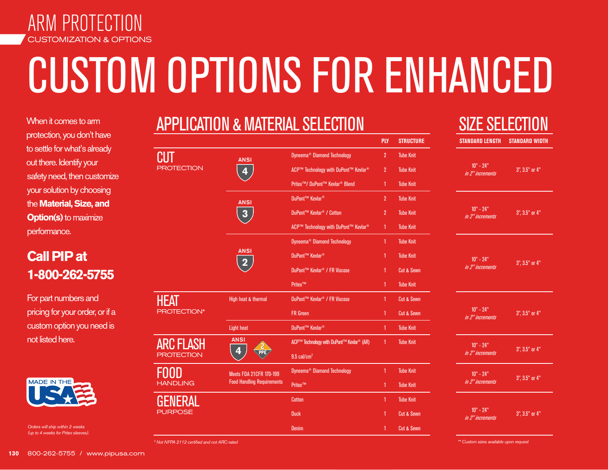

# CUSTOM OPTIONS FOR ENHANCED

When it comes to arm protection, you don't have to settle for what's already out there. Identify your safety need, then customize your solution by choosing the **Material, Size, and Option(s)** to maximize performance.

# **Call PIP at 1-800-262-5755**

For part numbers and pricing for your order, or if a custom option you need is not listed here.



*Orders will ship within 2 weeks (up to 4 weeks for Pritex sleeves).* 

|                    |                                        | <b>APPLICATION &amp; MATERIAL SELECTION</b>             |                  |                       | <b>SIZE SE</b>                  |
|--------------------|----------------------------------------|---------------------------------------------------------|------------------|-----------------------|---------------------------------|
|                    |                                        |                                                         | <b>PLY</b>       | <b>STRUCTURE</b>      | <b>STANDARD LENGTH</b>          |
| PROTECTION         | <b>ANSI</b>                            | Dyneema <sup>®</sup> Diamond Technology                 | $\overline{2}$   | <b>Tube Knit</b>      |                                 |
|                    | 4                                      | ACP™ Technology with DuPont™ Kevlar <sup>®</sup>        | $\overline{2}$   | <b>Tube Knit</b>      | $10" - 24"$<br>in 2" increments |
|                    |                                        | Pritex <sup>™</sup> / DuPont™ Kevlar <sup>®</sup> Blend | 1                | <b>Tube Knit</b>      |                                 |
|                    | <b>ANSI</b>                            | DuPont™ Kevlar <sup>®</sup>                             | $\overline{2}$   | <b>Tube Knit</b>      |                                 |
|                    | 3                                      | DuPont™ Kevlar <sup>®</sup> / Cotton                    | $\overline{2}$   | <b>Tube Knit</b>      | $10" - 24"$<br>in 2" increments |
|                    |                                        | ACP™ Technology with DuPont™ Kevlar <sup>®</sup>        | 1                | <b>Tube Knit</b>      |                                 |
|                    |                                        | Dyneema <sup>®</sup> Diamond Technology                 | 1                | <b>Tube Knit</b>      |                                 |
|                    | <b>ANSI</b><br>$\overline{\mathbf{2}}$ | DuPont™ Kevlar <sup>®</sup>                             | 1                | <b>Tube Knit</b>      | $10" - 24"$                     |
|                    |                                        | DuPont™ Kevlar <sup>®</sup> / FR Viscose                | 1                | <b>Cut &amp; Sewn</b> | in 2" increments                |
|                    |                                        | Pritex™                                                 | 1                | <b>Tube Knit</b>      |                                 |
| HEAT               | High heat & thermal                    | DuPont™ Kevlar <sup>®</sup> / FR Viscose                | 1                | <b>Cut &amp; Sewn</b> |                                 |
| <b>PROTECTION*</b> |                                        | <b>FR</b> Green                                         | 1                | <b>Cut &amp; Sewn</b> | $10" - 24"$<br>in 2" increments |
|                    | <b>Light heat</b>                      | DuPont™ Kevlar <sup>®</sup>                             | 1                | <b>Tube Knit</b>      |                                 |
| ARC FLASH          | <b>ANSI</b>                            | ACP™ Technology with DuPont™ Kevlar <sup>®</sup> (AR)   | 1                | <b>Tube Knit</b>      | $10" - 24"$                     |
| <b>ROTECTION</b>   |                                        | 9.5 cal/cm <sup>2</sup>                                 |                  |                       | in 2" increments                |
|                    | <b>Meets FDA 21CFR 170-199</b>         | Dyneema <sup>®</sup> Diamond Technology                 | 1                | <b>Tube Knit</b>      | $10" - 24"$                     |
| <b>HANDLING</b>    | <b>Food Handling Requirements</b>      | Pritex™<br><b>Tube Knit</b><br>1                        | in 2" increments |                       |                                 |
|                    |                                        | <b>Cotton</b>                                           | 1                | <b>Tube Knit</b>      |                                 |
| <b>PURPOSE</b>     |                                        | <b>Duck</b>                                             | 1                | <b>Cut &amp; Sewn</b> | $10" - 24"$<br>in 2" increments |
|                    |                                        | <b>Denim</b>                                            | 1                | <b>Cut &amp; Sewn</b> |                                 |

# LECTION

| STANDARD LENGTH STANDARD WIDTH  |                |
|---------------------------------|----------------|
| $10" - 24"$<br>in 2" increments | 3", 3.5" or 4" |
| $10" - 24"$<br>in 2" increments | 3", 3.5" or 4" |
| $10" - 24"$<br>in 2" increments | 3", 3.5" or 4" |
| $10" - 24"$<br>in 2" increments | 3", 3.5" or 4" |
| $10" - 24"$<br>in 2" increments | 3", 3.5" or 4" |
| $10" - 24"$<br>in 2" increments | 3", 3.5" or 4" |
| $10" - 24"$<br>in 2" increments | 3", 3.5" or 4" |

*\* Not NFPA 2112 certified and not ARC-rated* 

*\*\* Custom sizes available upon request*